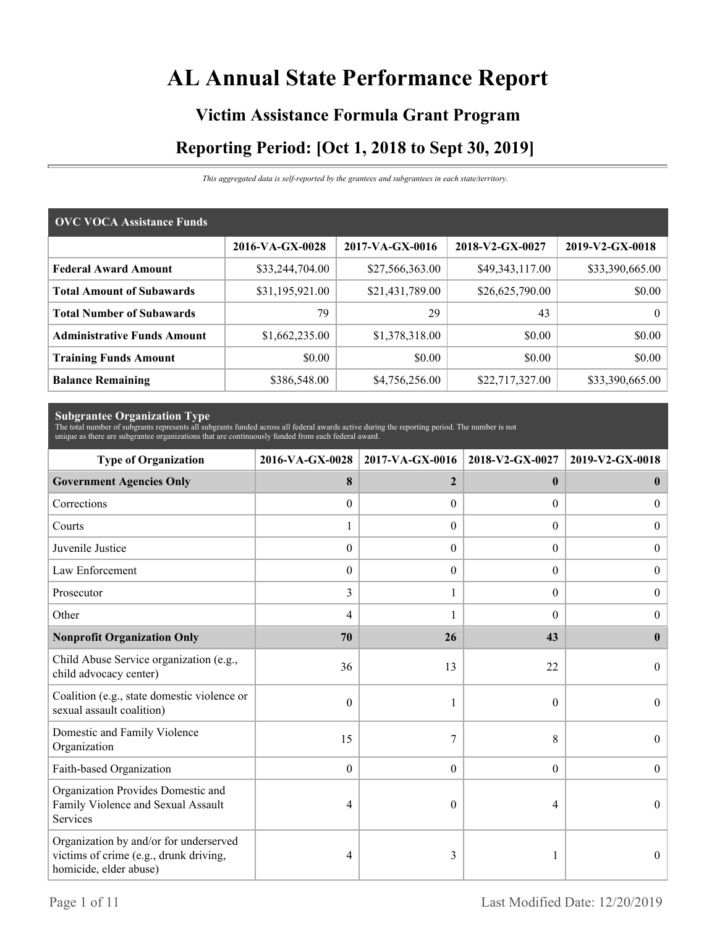# **AL Annual State Performance Report**

# **Victim Assistance Formula Grant Program Reporting Period: [Oct 1, 2018 to Sept 30, 2019]**

*This aggregated data is self-reported by the grantees and subgrantees in each state/territory.*

| <b>OVC VOCA Assistance Funds</b>   |                 |                 |                 |                 |
|------------------------------------|-----------------|-----------------|-----------------|-----------------|
|                                    | 2016-VA-GX-0028 | 2017-VA-GX-0016 | 2018-V2-GX-0027 | 2019-V2-GX-0018 |
| <b>Federal Award Amount</b>        | \$33,244,704.00 | \$27,566,363.00 | \$49,343,117.00 | \$33,390,665.00 |
| <b>Total Amount of Subawards</b>   | \$31,195,921.00 | \$21,431,789.00 | \$26,625,790.00 | \$0.00          |
| <b>Total Number of Subawards</b>   | 79              | 29              | 43              | 0 <sup>1</sup>  |
| <b>Administrative Funds Amount</b> | \$1,662,235.00  | \$1,378,318.00  | \$0.00          | \$0.00          |
| <b>Training Funds Amount</b>       | \$0.00          | \$0.00          | \$0.00          | \$0.00          |
| <b>Balance Remaining</b>           | \$386,548.00    | \$4,756,256.00  | \$22,717,327.00 | \$33,390,665.00 |

**Subgrantee Organization Type** The total number of subgrants represents all subgrants funded across all federal awards active during the reporting period. The number is not unique as there are subgrantee organizations that are continuously funded from each federal award.

| <b>Type of Organization</b>                                                                                | 2016-VA-GX-0028  | 2017-VA-GX-0016  | 2018-V2-GX-0027  | 2019-V2-GX-0018  |
|------------------------------------------------------------------------------------------------------------|------------------|------------------|------------------|------------------|
| <b>Government Agencies Only</b>                                                                            | 8                | $\overline{2}$   | $\mathbf{0}$     | $\bf{0}$         |
| Corrections                                                                                                | $\boldsymbol{0}$ | $\Omega$         | $\Omega$         | $\overline{0}$   |
| Courts                                                                                                     | 1                | $\Omega$         | $\Omega$         | $\mathbf{0}$     |
| Juvenile Justice                                                                                           | $\boldsymbol{0}$ | $\boldsymbol{0}$ | $\boldsymbol{0}$ | $\overline{0}$   |
| Law Enforcement                                                                                            | $\mathbf{0}$     | $\theta$         | $\theta$         | $\boldsymbol{0}$ |
| Prosecutor                                                                                                 | 3                |                  | $\overline{0}$   | $\overline{0}$   |
| Other                                                                                                      | 4                |                  | $\Omega$         | $\overline{0}$   |
| <b>Nonprofit Organization Only</b>                                                                         | 70               | 26               | 43               | $\mathbf{0}$     |
| Child Abuse Service organization (e.g.,<br>child advocacy center)                                          | 36               | 13               | 22               | $\Omega$         |
| Coalition (e.g., state domestic violence or<br>sexual assault coalition)                                   | $\theta$         | 1                | $\theta$         | $\theta$         |
| Domestic and Family Violence<br>Organization                                                               | 15               | 7                | 8                | $\Omega$         |
| Faith-based Organization                                                                                   | $\boldsymbol{0}$ | $\boldsymbol{0}$ | $\boldsymbol{0}$ | $\theta$         |
| Organization Provides Domestic and<br>Family Violence and Sexual Assault<br>Services                       | 4                | $\theta$         | 4                | $\theta$         |
| Organization by and/or for underserved<br>victims of crime (e.g., drunk driving,<br>homicide, elder abuse) | 4                | 3                |                  | $\theta$         |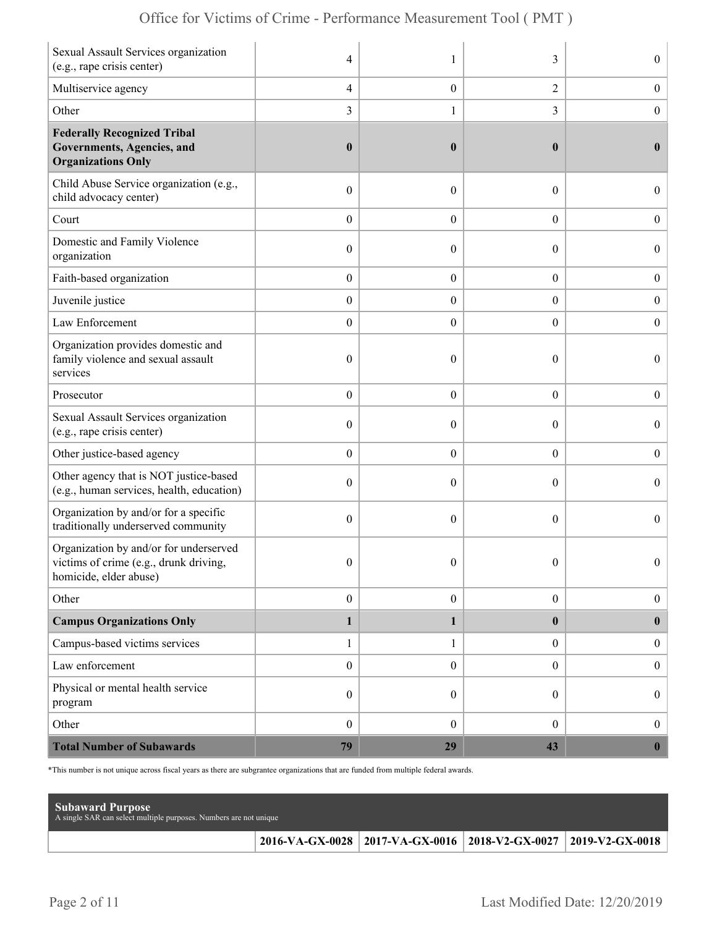| Sexual Assault Services organization<br>(e.g., rape crisis center)                                        | 4                | 1                | 3                | $\overline{0}$   |
|-----------------------------------------------------------------------------------------------------------|------------------|------------------|------------------|------------------|
| Multiservice agency                                                                                       | 4                | $\boldsymbol{0}$ | $\mathfrak{2}$   | $\boldsymbol{0}$ |
| Other                                                                                                     | 3                | 1                | 3                | $\boldsymbol{0}$ |
| <b>Federally Recognized Tribal</b><br>Governments, Agencies, and<br><b>Organizations Only</b>             | $\boldsymbol{0}$ | $\boldsymbol{0}$ | $\bf{0}$         | $\bf{0}$         |
| Child Abuse Service organization (e.g.,<br>child advocacy center)                                         | $\boldsymbol{0}$ | $\theta$         | $\boldsymbol{0}$ | $\overline{0}$   |
| Court                                                                                                     | $\boldsymbol{0}$ | $\overline{0}$   | $\overline{0}$   | $\boldsymbol{0}$ |
| Domestic and Family Violence<br>organization                                                              | $\boldsymbol{0}$ | $\theta$         | $\theta$         | $\boldsymbol{0}$ |
| Faith-based organization                                                                                  | $\boldsymbol{0}$ | $\boldsymbol{0}$ | $\boldsymbol{0}$ | $\boldsymbol{0}$ |
| Juvenile justice                                                                                          | $\boldsymbol{0}$ | $\overline{0}$   | $\boldsymbol{0}$ | $\boldsymbol{0}$ |
| Law Enforcement                                                                                           | $\boldsymbol{0}$ | $\theta$         | $\overline{0}$   | $\mathbf{0}$     |
| Organization provides domestic and<br>family violence and sexual assault<br>services                      | $\boldsymbol{0}$ | $\mathbf{0}$     | $\theta$         | $\overline{0}$   |
| Prosecutor                                                                                                | $\boldsymbol{0}$ | $\overline{0}$   | $\overline{0}$   | $\boldsymbol{0}$ |
| Sexual Assault Services organization<br>(e.g., rape crisis center)                                        | $\mathbf{0}$     | $\theta$         | $\theta$         | $\overline{0}$   |
| Other justice-based agency                                                                                | $\boldsymbol{0}$ | $\overline{0}$   | $\boldsymbol{0}$ | $\boldsymbol{0}$ |
| Other agency that is NOT justice-based<br>(e.g., human services, health, education)                       | $\boldsymbol{0}$ | $\overline{0}$   | $\theta$         | $\boldsymbol{0}$ |
| Organization by and/or for a specific<br>traditionally underserved community                              | $\boldsymbol{0}$ | $\theta$         | $\theta$         | $\overline{0}$   |
| Organization by and/or for underserved<br>victims of crime (e.g., drunk driving<br>homicide, elder abuse) | $\mathbf{0}$     | $\mathbf{0}$     | $\theta$         | $\overline{0}$   |
| Other                                                                                                     | $\boldsymbol{0}$ | $\boldsymbol{0}$ | $\boldsymbol{0}$ | $\boldsymbol{0}$ |
| <b>Campus Organizations Only</b>                                                                          | $\mathbf{1}$     | 1                | $\bf{0}$         | $\bf{0}$         |
| Campus-based victims services                                                                             | $\mathbf{1}$     | 1                | $\overline{0}$   | $\boldsymbol{0}$ |
| Law enforcement                                                                                           | $\boldsymbol{0}$ | $\boldsymbol{0}$ | $\boldsymbol{0}$ | $\boldsymbol{0}$ |
| Physical or mental health service<br>program                                                              | $\boldsymbol{0}$ | $\overline{0}$   | $\overline{0}$   | $\boldsymbol{0}$ |
| Other                                                                                                     | $\boldsymbol{0}$ | $\overline{0}$   | $\overline{0}$   | $\boldsymbol{0}$ |
| <b>Total Number of Subawards</b>                                                                          | 79               | 29               | 43               | $\boldsymbol{0}$ |

\*This number is not unique across fiscal years as there are subgrantee organizations that are funded from multiple federal awards.

| <b>Subaward Purpose</b><br>A single SAR can select multiple purposes. Numbers are not unique |                                                                       |  |
|----------------------------------------------------------------------------------------------|-----------------------------------------------------------------------|--|
|                                                                                              | 2016-VA-GX-0028   2017-VA-GX-0016   2018-V2-GX-0027   2019-V2-GX-0018 |  |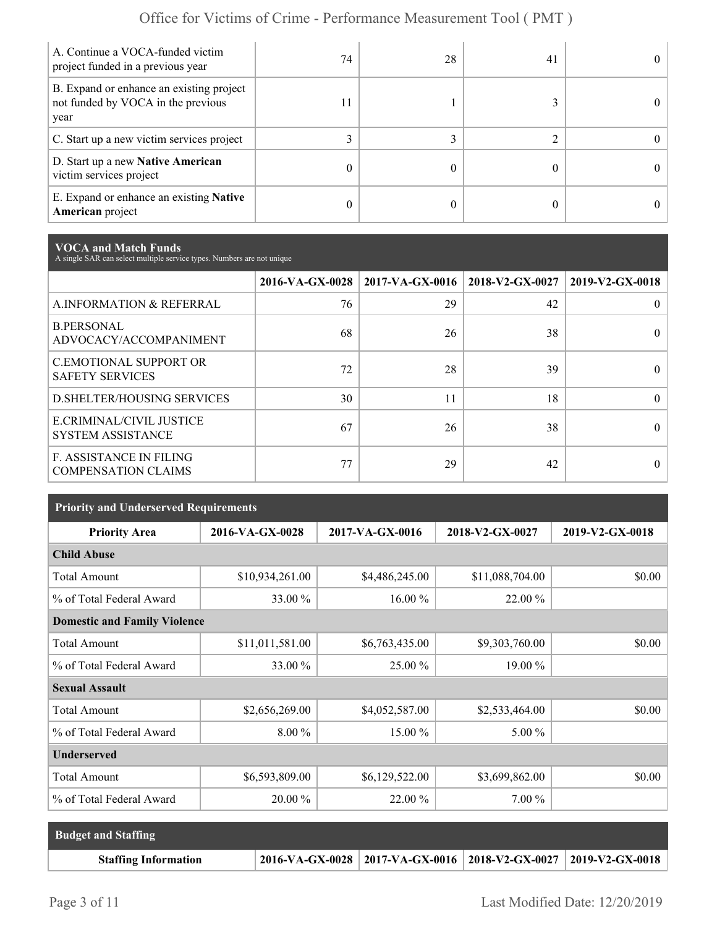| A. Continue a VOCA-funded victim<br>project funded in a previous year                  | 74 | 28 | 41 |  |
|----------------------------------------------------------------------------------------|----|----|----|--|
| B. Expand or enhance an existing project<br>not funded by VOCA in the previous<br>year | 11 |    |    |  |
| C. Start up a new victim services project                                              |    |    |    |  |
| D. Start up a new Native American<br>victim services project                           | 0  |    |    |  |
| E. Expand or enhance an existing <b>Native</b><br>American project                     | 0  |    |    |  |

**VOCA and Match Funds** A single SAR can select multiple service types. Numbers are not unique

|                                                              |    | 2016-VA-GX-0028   2017-VA-GX-0016   2018-V2-GX-0027 |    | 2019-V2-GX-0018 |
|--------------------------------------------------------------|----|-----------------------------------------------------|----|-----------------|
| A.INFORMATION & REFERRAL                                     | 76 | 29                                                  | 42 | 0               |
| <b>B.PERSONAL</b><br>ADVOCACY/ACCOMPANIMENT                  | 68 | 26                                                  | 38 |                 |
| <b>C.EMOTIONAL SUPPORT OR</b><br><b>SAFETY SERVICES</b>      | 72 | 28                                                  | 39 |                 |
| <b>D.SHELTER/HOUSING SERVICES</b>                            | 30 | 11                                                  | 18 | $\theta$        |
| E.CRIMINAL/CIVIL JUSTICE<br><b>SYSTEM ASSISTANCE</b>         | 67 | 26                                                  | 38 |                 |
| <b>F. ASSISTANCE IN FILING</b><br><b>COMPENSATION CLAIMS</b> | 77 | 29                                                  | 42 | 0               |

| <b>Priority and Underserved Requirements</b> |                 |                 |                 |                 |  |  |
|----------------------------------------------|-----------------|-----------------|-----------------|-----------------|--|--|
| <b>Priority Area</b>                         | 2016-VA-GX-0028 | 2017-VA-GX-0016 | 2018-V2-GX-0027 | 2019-V2-GX-0018 |  |  |
| <b>Child Abuse</b>                           |                 |                 |                 |                 |  |  |
| <b>Total Amount</b>                          | \$10,934,261.00 | \$4,486,245.00  | \$11,088,704.00 | \$0.00          |  |  |
| % of Total Federal Award                     | 33.00 %         | 16.00 %         | 22.00 %         |                 |  |  |
| <b>Domestic and Family Violence</b>          |                 |                 |                 |                 |  |  |
| <b>Total Amount</b>                          | \$11,011,581.00 | \$6,763,435.00  | \$9,303,760.00  | \$0.00          |  |  |
| % of Total Federal Award                     | 33.00 %         | 25.00 %         | 19.00 %         |                 |  |  |
| <b>Sexual Assault</b>                        |                 |                 |                 |                 |  |  |
| <b>Total Amount</b>                          | \$2,656,269.00  | \$4,052,587.00  | \$2,533,464.00  | \$0.00          |  |  |
| % of Total Federal Award                     | $8.00\%$        | 15.00 %         | $5.00\%$        |                 |  |  |
| <b>Underserved</b>                           |                 |                 |                 |                 |  |  |
| <b>Total Amount</b>                          | \$6,593,809.00  | \$6,129,522.00  | \$3,699,862.00  | \$0.00          |  |  |
| % of Total Federal Award                     | 20.00 %         | 22.00 %         | $7.00\%$        |                 |  |  |

| <b>Budget and Staffing</b>  |                                                                         |  |
|-----------------------------|-------------------------------------------------------------------------|--|
| <b>Staffing Information</b> | $2016-VA-GX-0028$   2017-VA-GX-0016   2018-V2-GX-0027   2019-V2-GX-0018 |  |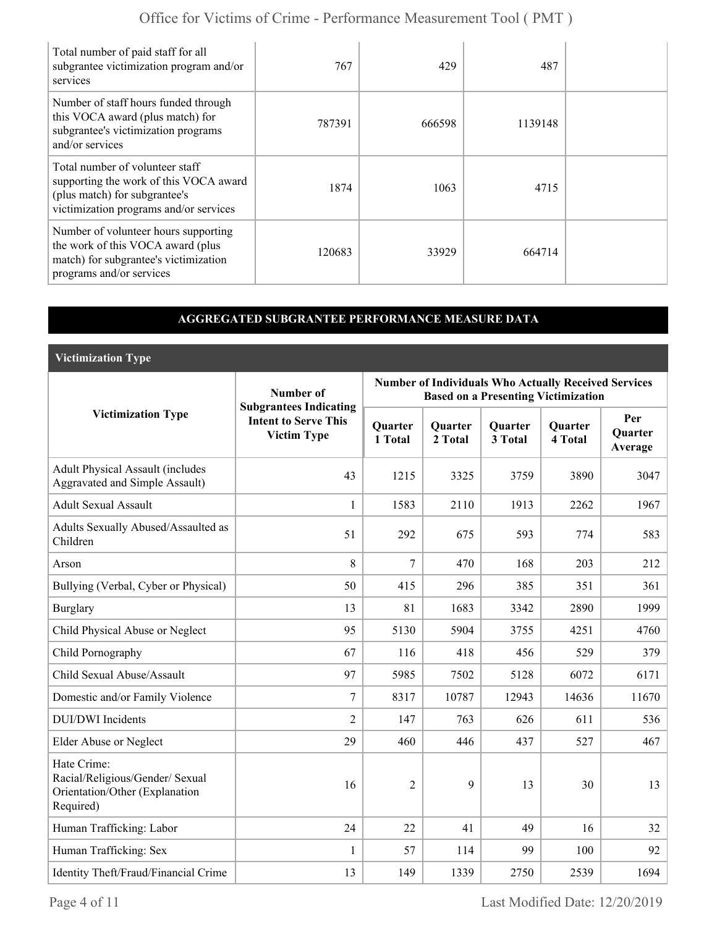| Total number of paid staff for all<br>subgrantee victimization program and/or<br>services                                                            | 767    | 429    | 487     |  |
|------------------------------------------------------------------------------------------------------------------------------------------------------|--------|--------|---------|--|
| Number of staff hours funded through<br>this VOCA award (plus match) for<br>subgrantee's victimization programs<br>and/or services                   | 787391 | 666598 | 1139148 |  |
| Total number of volunteer staff<br>supporting the work of this VOCA award<br>(plus match) for subgrantee's<br>victimization programs and/or services | 1874   | 1063   | 4715    |  |
| Number of volunteer hours supporting<br>the work of this VOCA award (plus<br>match) for subgrantee's victimization<br>programs and/or services       | 120683 | 33929  | 664714  |  |

### **AGGREGATED SUBGRANTEE PERFORMANCE MEASURE DATA**

**Victimization Type**

|                                                                                               | Number of                                                                          | <b>Number of Individuals Who Actually Received Services</b><br><b>Based on a Presenting Victimization</b> |                           |                           |                           |                                  |  |
|-----------------------------------------------------------------------------------------------|------------------------------------------------------------------------------------|-----------------------------------------------------------------------------------------------------------|---------------------------|---------------------------|---------------------------|----------------------------------|--|
| <b>Victimization Type</b>                                                                     | <b>Subgrantees Indicating</b><br><b>Intent to Serve This</b><br><b>Victim Type</b> | Quarter<br>1 Total                                                                                        | <b>Quarter</b><br>2 Total | <b>Quarter</b><br>3 Total | <b>Quarter</b><br>4 Total | Per<br><b>Ouarter</b><br>Average |  |
| <b>Adult Physical Assault (includes</b><br><b>Aggravated and Simple Assault)</b>              | 43                                                                                 | 1215                                                                                                      | 3325                      | 3759                      | 3890                      | 3047                             |  |
| <b>Adult Sexual Assault</b>                                                                   | $\mathbf{1}$                                                                       | 1583                                                                                                      | 2110                      | 1913                      | 2262                      | 1967                             |  |
| Adults Sexually Abused/Assaulted as<br>Children                                               | 51                                                                                 | 292                                                                                                       | 675                       | 593                       | 774                       | 583                              |  |
| Arson                                                                                         | 8                                                                                  | 7                                                                                                         | 470                       | 168                       | 203                       | 212                              |  |
| Bullying (Verbal, Cyber or Physical)                                                          | 50                                                                                 | 415                                                                                                       | 296                       | 385                       | 351                       | 361                              |  |
| <b>Burglary</b>                                                                               | 13                                                                                 | 81                                                                                                        | 1683                      | 3342                      | 2890                      | 1999                             |  |
| Child Physical Abuse or Neglect                                                               | 95                                                                                 | 5130                                                                                                      | 5904                      | 3755                      | 4251                      | 4760                             |  |
| Child Pornography                                                                             | 67                                                                                 | 116                                                                                                       | 418                       | 456                       | 529                       | 379                              |  |
| Child Sexual Abuse/Assault                                                                    | 97                                                                                 | 5985                                                                                                      | 7502                      | 5128                      | 6072                      | 6171                             |  |
| Domestic and/or Family Violence                                                               | $7\phantom{.0}$                                                                    | 8317                                                                                                      | 10787                     | 12943                     | 14636                     | 11670                            |  |
| <b>DUI/DWI</b> Incidents                                                                      | 2                                                                                  | 147                                                                                                       | 763                       | 626                       | 611                       | 536                              |  |
| Elder Abuse or Neglect                                                                        | 29                                                                                 | 460                                                                                                       | 446                       | 437                       | 527                       | 467                              |  |
| Hate Crime:<br>Racial/Religious/Gender/ Sexual<br>Orientation/Other (Explanation<br>Required) | 16                                                                                 | $\overline{2}$                                                                                            | 9                         | 13                        | 30                        | 13                               |  |
| Human Trafficking: Labor                                                                      | 24                                                                                 | 22                                                                                                        | 41                        | 49                        | 16                        | 32                               |  |
| Human Trafficking: Sex                                                                        | 1                                                                                  | 57                                                                                                        | 114                       | 99                        | 100                       | 92                               |  |
| Identity Theft/Fraud/Financial Crime                                                          | 13                                                                                 | 149                                                                                                       | 1339                      | 2750                      | 2539                      | 1694                             |  |

Page 4 of 11 Last Modified Date: 12/20/2019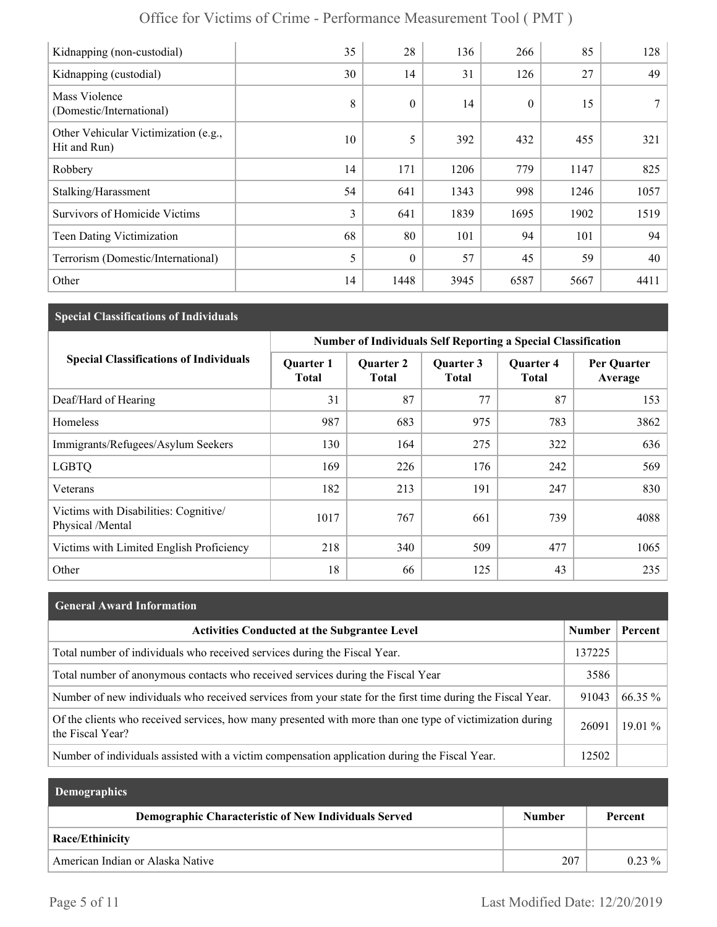| Kidnapping (non-custodial)                           | 35 | 28           | 136  | 266              | 85   | 128  |
|------------------------------------------------------|----|--------------|------|------------------|------|------|
| Kidnapping (custodial)                               | 30 | 14           | 31   | 126              | 27   | 49   |
| Mass Violence<br>(Domestic/International)            | 8  | $\mathbf{0}$ | 14   | $\boldsymbol{0}$ | 15   |      |
| Other Vehicular Victimization (e.g.,<br>Hit and Run) | 10 | 5            | 392  | 432              | 455  | 321  |
| Robbery                                              | 14 | 171          | 1206 | 779              | 1147 | 825  |
| Stalking/Harassment                                  | 54 | 641          | 1343 | 998              | 1246 | 1057 |
| <b>Survivors of Homicide Victims</b>                 | 3  | 641          | 1839 | 1695             | 1902 | 1519 |
| Teen Dating Victimization                            | 68 | 80           | 101  | 94               | 101  | 94   |
| Terrorism (Domestic/International)                   | 5  | $\theta$     | 57   | 45               | 59   | 40   |
| Other                                                | 14 | 1448         | 3945 | 6587             | 5667 | 4411 |

#### **Special Classifications of Individuals**

|                                                           | <b>Number of Individuals Self Reporting a Special Classification</b> |                                  |                           |                                  |                        |  |
|-----------------------------------------------------------|----------------------------------------------------------------------|----------------------------------|---------------------------|----------------------------------|------------------------|--|
| <b>Special Classifications of Individuals</b>             | <b>Quarter 1</b><br><b>Total</b>                                     | <b>Quarter 2</b><br><b>Total</b> | Quarter 3<br><b>Total</b> | <b>Quarter 4</b><br><b>Total</b> | Per Quarter<br>Average |  |
| Deaf/Hard of Hearing                                      | 31                                                                   | 87                               | 77                        | 87                               | 153                    |  |
| Homeless                                                  | 987                                                                  | 683                              | 975                       | 783                              | 3862                   |  |
| Immigrants/Refugees/Asylum Seekers                        | 130                                                                  | 164                              | 275                       | 322                              | 636                    |  |
| <b>LGBTQ</b>                                              | 169                                                                  | 226                              | 176                       | 242                              | 569                    |  |
| Veterans                                                  | 182                                                                  | 213                              | 191                       | 247                              | 830                    |  |
| Victims with Disabilities: Cognitive/<br>Physical /Mental | 1017                                                                 | 767                              | 661                       | 739                              | 4088                   |  |
| Victims with Limited English Proficiency                  | 218                                                                  | 340                              | 509                       | 477                              | 1065                   |  |
| Other                                                     | 18                                                                   | 66                               | 125                       | 43                               | 235                    |  |

# **General Award Information** Activities Conducted at the Subgrantee Level **Number | Percent** Total number of individuals who received services during the Fiscal Year. 137225 Total number of anonymous contacts who received services during the Fiscal Year 3586 Number of new individuals who received services from your state for the first time during the Fiscal Year.  $\vert$  91043 66.35 % Of the clients who received services, how many presented with more than one type of victimization during <br>the Fiscal Year? 26091 19.01 % Number of individuals assisted with a victim compensation application during the Fiscal Year. 12502

| <b>Demographics</b>                                  |               |           |
|------------------------------------------------------|---------------|-----------|
| Demographic Characteristic of New Individuals Served | <b>Number</b> | Percent   |
| Race/Ethinicity                                      |               |           |
| American Indian or Alaska Native                     | 207           | $0.23 \%$ |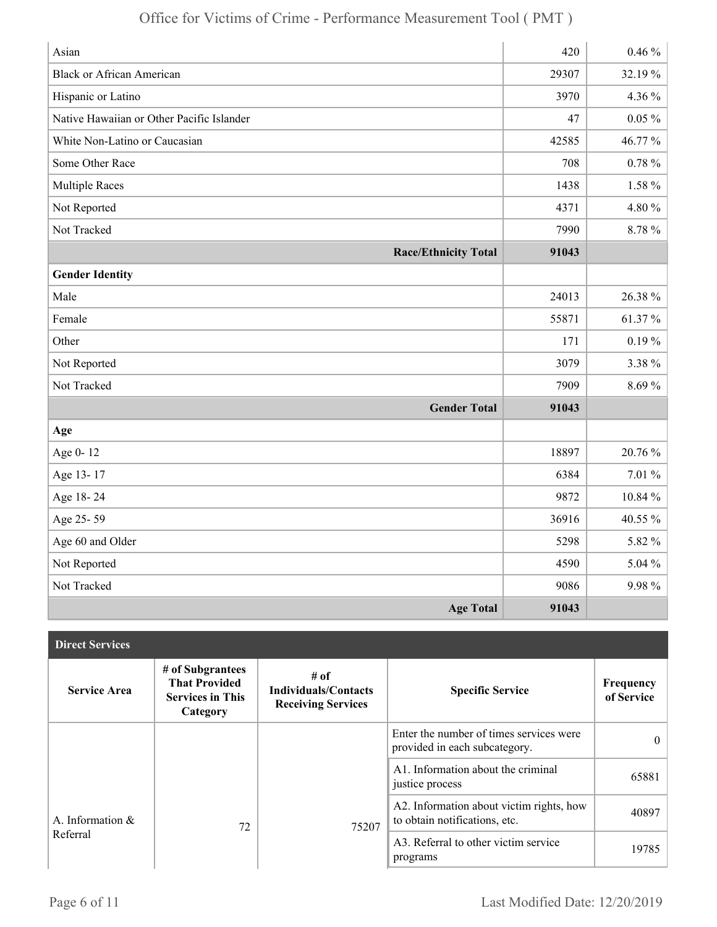| Asian                                     | 420   | $0.46\%$  |
|-------------------------------------------|-------|-----------|
| <b>Black or African American</b>          | 29307 | 32.19%    |
| Hispanic or Latino                        | 3970  | 4.36 %    |
| Native Hawaiian or Other Pacific Islander | 47    | $0.05 \%$ |
| White Non-Latino or Caucasian             | 42585 | 46.77%    |
| Some Other Race                           | 708   | $0.78 \%$ |
| <b>Multiple Races</b>                     | 1438  | 1.58 %    |
| Not Reported                              | 4371  | 4.80%     |
| Not Tracked                               | 7990  | 8.78%     |
| <b>Race/Ethnicity Total</b>               | 91043 |           |
| <b>Gender Identity</b>                    |       |           |
| Male                                      | 24013 | 26.38%    |
| Female                                    | 55871 | 61.37%    |
| Other                                     | 171   | $0.19\%$  |
| Not Reported                              | 3079  | 3.38%     |
| Not Tracked                               | 7909  | 8.69%     |
| <b>Gender Total</b>                       | 91043 |           |
| Age                                       |       |           |
| Age 0-12                                  | 18897 | 20.76 %   |
| Age 13-17                                 | 6384  | 7.01 %    |
| Age 18-24                                 | 9872  | 10.84 %   |
| Age 25-59                                 | 36916 | 40.55 %   |
| Age 60 and Older                          | 5298  | 5.82 %    |
| Not Reported                              | 4590  | 5.04 %    |
| Not Tracked                               | 9086  | 9.98%     |
| <b>Age Total</b>                          | 91043 |           |

| <b>Direct Services</b> |                                                                                 |                                                                  |                                                                           |                         |
|------------------------|---------------------------------------------------------------------------------|------------------------------------------------------------------|---------------------------------------------------------------------------|-------------------------|
| <b>Service Area</b>    | # of Subgrantees<br><b>That Provided</b><br><b>Services in This</b><br>Category | # of<br><b>Individuals/Contacts</b><br><b>Receiving Services</b> | <b>Specific Service</b>                                                   | Frequency<br>of Service |
|                        |                                                                                 |                                                                  | Enter the number of times services were<br>provided in each subcategory.  | $\Omega$                |
|                        |                                                                                 |                                                                  | A1. Information about the criminal<br>justice process                     | 65881                   |
| A. Information $\&$    | 72                                                                              | 75207                                                            | A2. Information about victim rights, how<br>to obtain notifications, etc. | 40897                   |
| Referral               |                                                                                 |                                                                  | A3. Referral to other victim service<br>programs                          | 19785                   |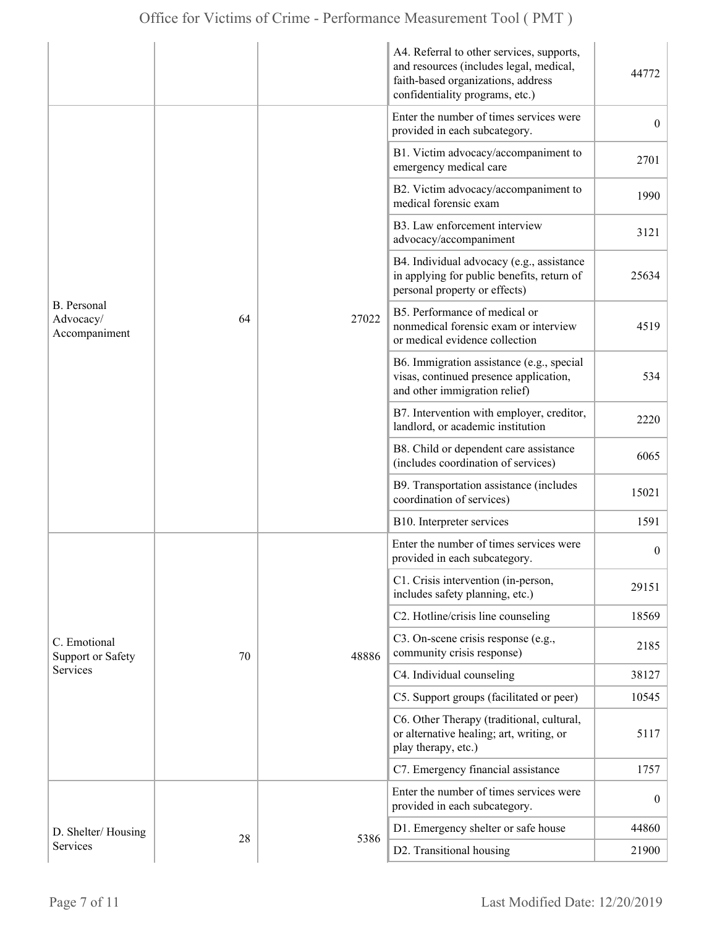|                                                      |    |       | A4. Referral to other services, supports,<br>and resources (includes legal, medical,<br>faith-based organizations, address<br>confidentiality programs, etc.) | 44772            |
|------------------------------------------------------|----|-------|---------------------------------------------------------------------------------------------------------------------------------------------------------------|------------------|
|                                                      |    |       | Enter the number of times services were<br>provided in each subcategory.                                                                                      | $\overline{0}$   |
|                                                      |    |       | B1. Victim advocacy/accompaniment to<br>emergency medical care                                                                                                | 2701             |
|                                                      |    |       | B2. Victim advocacy/accompaniment to<br>medical forensic exam                                                                                                 | 1990             |
| <b>B.</b> Personal<br>Advocacy/<br>Accompaniment     |    | 27022 | B3. Law enforcement interview<br>advocacy/accompaniment                                                                                                       | 3121             |
|                                                      | 64 |       | B4. Individual advocacy (e.g., assistance<br>in applying for public benefits, return of<br>personal property or effects)                                      | 25634            |
|                                                      |    |       | B5. Performance of medical or<br>nonmedical forensic exam or interview<br>or medical evidence collection                                                      | 4519             |
|                                                      |    |       | B6. Immigration assistance (e.g., special<br>visas, continued presence application,<br>and other immigration relief)                                          | 534              |
|                                                      |    |       | B7. Intervention with employer, creditor,<br>landlord, or academic institution                                                                                | 2220             |
|                                                      |    |       | B8. Child or dependent care assistance<br>(includes coordination of services)                                                                                 | 6065             |
|                                                      |    |       | B9. Transportation assistance (includes<br>coordination of services)                                                                                          | 15021            |
|                                                      |    |       | B10. Interpreter services                                                                                                                                     | 1591             |
|                                                      |    |       | Enter the number of times services were<br>provided in each subcategory.                                                                                      | $\boldsymbol{0}$ |
|                                                      |    |       | C1. Crisis intervention (in-person,<br>includes safety planning, etc.)                                                                                        | 29151            |
| C. Emotional<br><b>Support or Safety</b><br>Services |    | 48886 | C2. Hotline/crisis line counseling                                                                                                                            | 18569            |
|                                                      | 70 |       | C3. On-scene crisis response (e.g.,<br>community crisis response)                                                                                             | 2185             |
|                                                      |    |       | C4. Individual counseling                                                                                                                                     | 38127            |
|                                                      |    |       | C5. Support groups (facilitated or peer)                                                                                                                      | 10545            |
|                                                      |    |       | C6. Other Therapy (traditional, cultural,<br>or alternative healing; art, writing, or<br>play therapy, etc.)                                                  | 5117             |
|                                                      |    |       | C7. Emergency financial assistance                                                                                                                            | 1757             |
|                                                      |    |       | Enter the number of times services were<br>provided in each subcategory.                                                                                      | $\overline{0}$   |
| D. Shelter/Housing                                   |    |       | D1. Emergency shelter or safe house                                                                                                                           | 44860            |
| Services                                             | 28 | 5386  | D2. Transitional housing                                                                                                                                      | 21900            |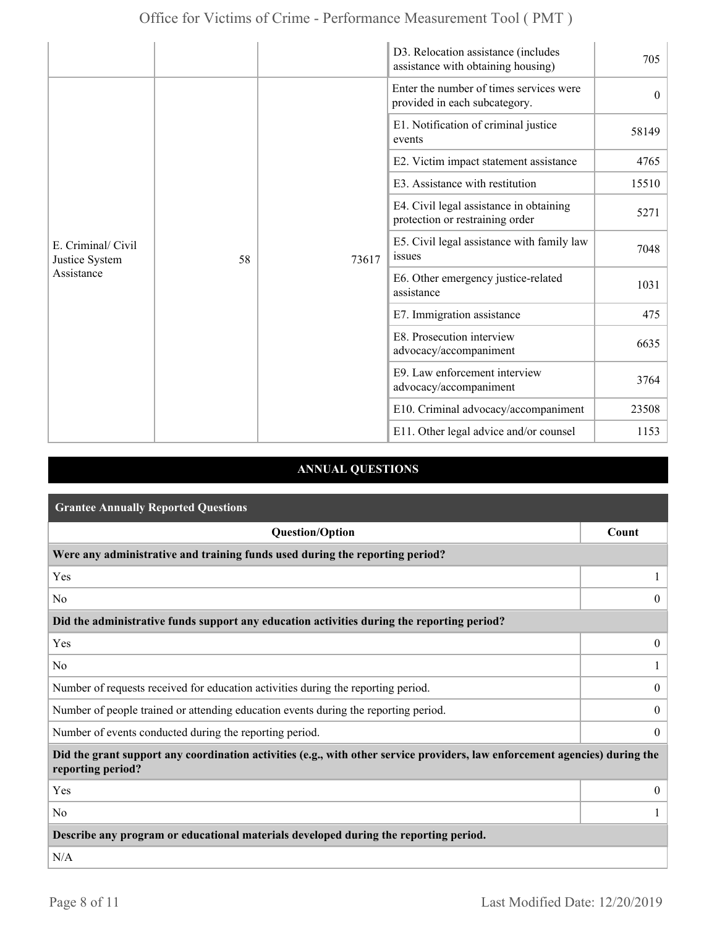|                                                    |    |       | D3. Relocation assistance (includes<br>assistance with obtaining housing)  | 705      |
|----------------------------------------------------|----|-------|----------------------------------------------------------------------------|----------|
| E. Criminal/ Civil<br>Justice System<br>Assistance |    | 73617 | Enter the number of times services were<br>provided in each subcategory.   | $\theta$ |
|                                                    |    |       | E1. Notification of criminal justice<br>events                             | 58149    |
|                                                    |    |       | E2. Victim impact statement assistance                                     | 4765     |
|                                                    |    |       | E3. Assistance with restitution                                            | 15510    |
|                                                    |    |       | E4. Civil legal assistance in obtaining<br>protection or restraining order | 5271     |
|                                                    | 58 |       | E5. Civil legal assistance with family law<br>issues                       | 7048     |
|                                                    |    |       | E6. Other emergency justice-related<br>assistance                          | 1031     |
|                                                    |    |       | E7. Immigration assistance                                                 | 475      |
|                                                    |    |       | E8. Prosecution interview<br>advocacy/accompaniment                        | 6635     |
|                                                    |    |       | E9. Law enforcement interview<br>advocacy/accompaniment                    | 3764     |
|                                                    |    |       | E10. Criminal advocacy/accompaniment                                       | 23508    |
|                                                    |    |       | E11. Other legal advice and/or counsel                                     | 1153     |

## **ANNUAL QUESTIONS**

| <b>Grantee Annually Reported Questions</b>                                                                                                       |                  |  |
|--------------------------------------------------------------------------------------------------------------------------------------------------|------------------|--|
| <b>Question/Option</b>                                                                                                                           | Count            |  |
| Were any administrative and training funds used during the reporting period?                                                                     |                  |  |
| Yes                                                                                                                                              |                  |  |
| N <sub>0</sub>                                                                                                                                   | $\theta$         |  |
| Did the administrative funds support any education activities during the reporting period?                                                       |                  |  |
| Yes                                                                                                                                              | $\overline{0}$   |  |
| N <sub>0</sub>                                                                                                                                   |                  |  |
| Number of requests received for education activities during the reporting period.                                                                | $\overline{0}$   |  |
| Number of people trained or attending education events during the reporting period.                                                              | $\boldsymbol{0}$ |  |
| Number of events conducted during the reporting period.                                                                                          | $\overline{0}$   |  |
| Did the grant support any coordination activities (e.g., with other service providers, law enforcement agencies) during the<br>reporting period? |                  |  |
| Yes                                                                                                                                              | $\overline{0}$   |  |
| N <sub>0</sub>                                                                                                                                   |                  |  |
| Describe any program or educational materials developed during the reporting period.                                                             |                  |  |
| N/A                                                                                                                                              |                  |  |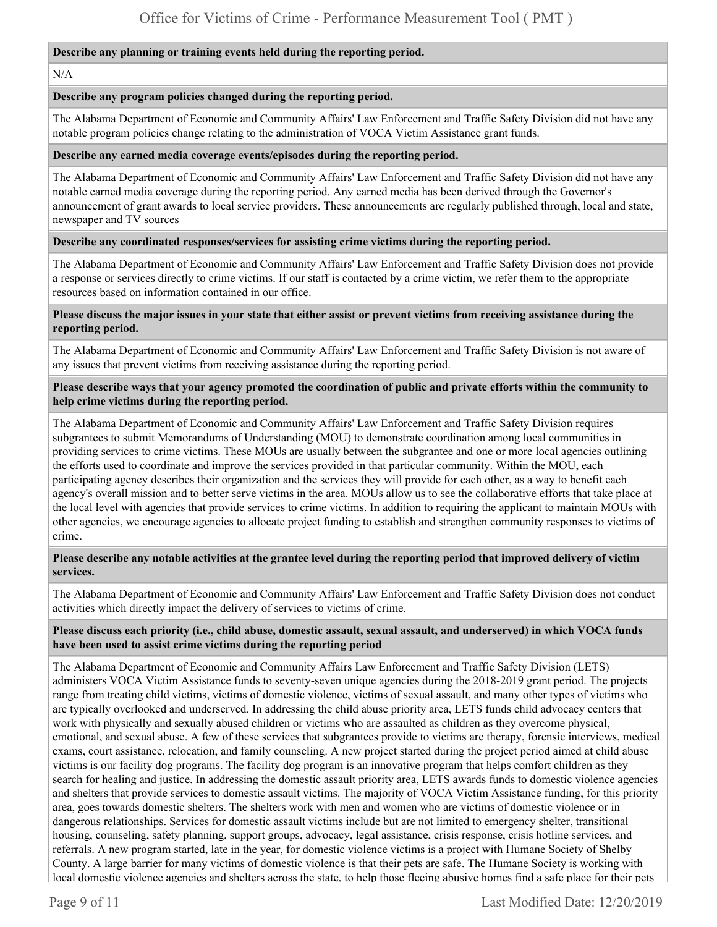#### **Describe any planning or training events held during the reporting period.**

#### N/A

#### **Describe any program policies changed during the reporting period.**

The Alabama Department of Economic and Community Affairs' Law Enforcement and Traffic Safety Division did not have any notable program policies change relating to the administration of VOCA Victim Assistance grant funds.

#### **Describe any earned media coverage events/episodes during the reporting period.**

The Alabama Department of Economic and Community Affairs' Law Enforcement and Traffic Safety Division did not have any notable earned media coverage during the reporting period. Any earned media has been derived through the Governor's announcement of grant awards to local service providers. These announcements are regularly published through, local and state, newspaper and TV sources

#### **Describe any coordinated responses/services for assisting crime victims during the reporting period.**

The Alabama Department of Economic and Community Affairs' Law Enforcement and Traffic Safety Division does not provide a response or services directly to crime victims. If our staff is contacted by a crime victim, we refer them to the appropriate resources based on information contained in our office.

#### **Please discuss the major issues in your state that either assist or prevent victims from receiving assistance during the reporting period.**

The Alabama Department of Economic and Community Affairs' Law Enforcement and Traffic Safety Division is not aware of any issues that prevent victims from receiving assistance during the reporting period.

#### **Please describe ways that your agency promoted the coordination of public and private efforts within the community to help crime victims during the reporting period.**

The Alabama Department of Economic and Community Affairs' Law Enforcement and Traffic Safety Division requires subgrantees to submit Memorandums of Understanding (MOU) to demonstrate coordination among local communities in providing services to crime victims. These MOUs are usually between the subgrantee and one or more local agencies outlining the efforts used to coordinate and improve the services provided in that particular community. Within the MOU, each participating agency describes their organization and the services they will provide for each other, as a way to benefit each agency's overall mission and to better serve victims in the area. MOUs allow us to see the collaborative efforts that take place at the local level with agencies that provide services to crime victims. In addition to requiring the applicant to maintain MOUs with other agencies, we encourage agencies to allocate project funding to establish and strengthen community responses to victims of crime.

#### **Please describe any notable activities at the grantee level during the reporting period that improved delivery of victim services.**

The Alabama Department of Economic and Community Affairs' Law Enforcement and Traffic Safety Division does not conduct activities which directly impact the delivery of services to victims of crime.

#### **Please discuss each priority (i.e., child abuse, domestic assault, sexual assault, and underserved) in which VOCA funds have been used to assist crime victims during the reporting period**

The Alabama Department of Economic and Community Affairs Law Enforcement and Traffic Safety Division (LETS) administers VOCA Victim Assistance funds to seventy-seven unique agencies during the 2018-2019 grant period. The projects range from treating child victims, victims of domestic violence, victims of sexual assault, and many other types of victims who are typically overlooked and underserved. In addressing the child abuse priority area, LETS funds child advocacy centers that work with physically and sexually abused children or victims who are assaulted as children as they overcome physical, emotional, and sexual abuse. A few of these services that subgrantees provide to victims are therapy, forensic interviews, medical exams, court assistance, relocation, and family counseling. A new project started during the project period aimed at child abuse victims is our facility dog programs. The facility dog program is an innovative program that helps comfort children as they search for healing and justice. In addressing the domestic assault priority area, LETS awards funds to domestic violence agencies and shelters that provide services to domestic assault victims. The majority of VOCA Victim Assistance funding, for this priority area, goes towards domestic shelters. The shelters work with men and women who are victims of domestic violence or in dangerous relationships. Services for domestic assault victims include but are not limited to emergency shelter, transitional housing, counseling, safety planning, support groups, advocacy, legal assistance, crisis response, crisis hotline services, and referrals. A new program started, late in the year, for domestic violence victims is a project with Humane Society of Shelby County. A large barrier for many victims of domestic violence is that their pets are safe. The Humane Society is working with local domestic violence agencies and shelters across the state, to help those fleeing abusive homes find a safe place for their pets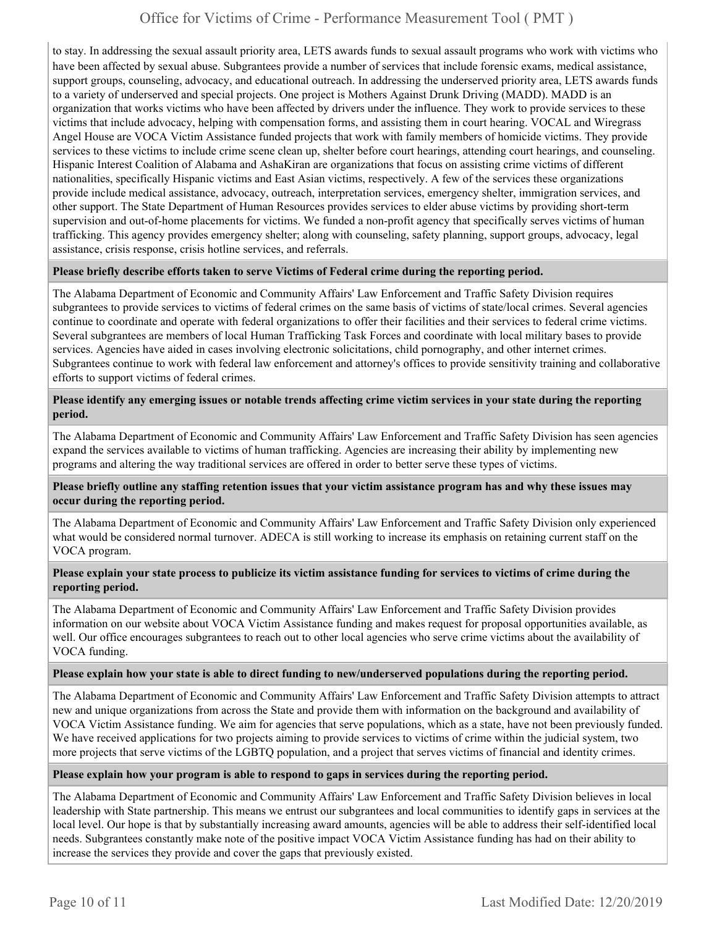to stay. In addressing the sexual assault priority area, LETS awards funds to sexual assault programs who work with victims who have been affected by sexual abuse. Subgrantees provide a number of services that include forensic exams, medical assistance, support groups, counseling, advocacy, and educational outreach. In addressing the underserved priority area, LETS awards funds to a variety of underserved and special projects. One project is Mothers Against Drunk Driving (MADD). MADD is an organization that works victims who have been affected by drivers under the influence. They work to provide services to these victims that include advocacy, helping with compensation forms, and assisting them in court hearing. VOCAL and Wiregrass Angel House are VOCA Victim Assistance funded projects that work with family members of homicide victims. They provide services to these victims to include crime scene clean up, shelter before court hearings, attending court hearings, and counseling. Hispanic Interest Coalition of Alabama and AshaKiran are organizations that focus on assisting crime victims of different nationalities, specifically Hispanic victims and East Asian victims, respectively. A few of the services these organizations provide include medical assistance, advocacy, outreach, interpretation services, emergency shelter, immigration services, and other support. The State Department of Human Resources provides services to elder abuse victims by providing short-term supervision and out-of-home placements for victims. We funded a non-profit agency that specifically serves victims of human trafficking. This agency provides emergency shelter; along with counseling, safety planning, support groups, advocacy, legal assistance, crisis response, crisis hotline services, and referrals.

#### **Please briefly describe efforts taken to serve Victims of Federal crime during the reporting period.**

The Alabama Department of Economic and Community Affairs' Law Enforcement and Traffic Safety Division requires subgrantees to provide services to victims of federal crimes on the same basis of victims of state/local crimes. Several agencies continue to coordinate and operate with federal organizations to offer their facilities and their services to federal crime victims. Several subgrantees are members of local Human Trafficking Task Forces and coordinate with local military bases to provide services. Agencies have aided in cases involving electronic solicitations, child pornography, and other internet crimes. Subgrantees continue to work with federal law enforcement and attorney's offices to provide sensitivity training and collaborative efforts to support victims of federal crimes.

#### **Please identify any emerging issues or notable trends affecting crime victim services in your state during the reporting period.**

The Alabama Department of Economic and Community Affairs' Law Enforcement and Traffic Safety Division has seen agencies expand the services available to victims of human trafficking. Agencies are increasing their ability by implementing new programs and altering the way traditional services are offered in order to better serve these types of victims.

#### **Please briefly outline any staffing retention issues that your victim assistance program has and why these issues may occur during the reporting period.**

The Alabama Department of Economic and Community Affairs' Law Enforcement and Traffic Safety Division only experienced what would be considered normal turnover. ADECA is still working to increase its emphasis on retaining current staff on the VOCA program.

#### **Please explain your state process to publicize its victim assistance funding for services to victims of crime during the reporting period.**

The Alabama Department of Economic and Community Affairs' Law Enforcement and Traffic Safety Division provides information on our website about VOCA Victim Assistance funding and makes request for proposal opportunities available, as well. Our office encourages subgrantees to reach out to other local agencies who serve crime victims about the availability of VOCA funding.

#### **Please explain how your state is able to direct funding to new/underserved populations during the reporting period.**

The Alabama Department of Economic and Community Affairs' Law Enforcement and Traffic Safety Division attempts to attract new and unique organizations from across the State and provide them with information on the background and availability of VOCA Victim Assistance funding. We aim for agencies that serve populations, which as a state, have not been previously funded. We have received applications for two projects aiming to provide services to victims of crime within the judicial system, two more projects that serve victims of the LGBTQ population, and a project that serves victims of financial and identity crimes.

#### **Please explain how your program is able to respond to gaps in services during the reporting period.**

The Alabama Department of Economic and Community Affairs' Law Enforcement and Traffic Safety Division believes in local leadership with State partnership. This means we entrust our subgrantees and local communities to identify gaps in services at the local level. Our hope is that by substantially increasing award amounts, agencies will be able to address their self-identified local needs. Subgrantees constantly make note of the positive impact VOCA Victim Assistance funding has had on their ability to increase the services they provide and cover the gaps that previously existed.